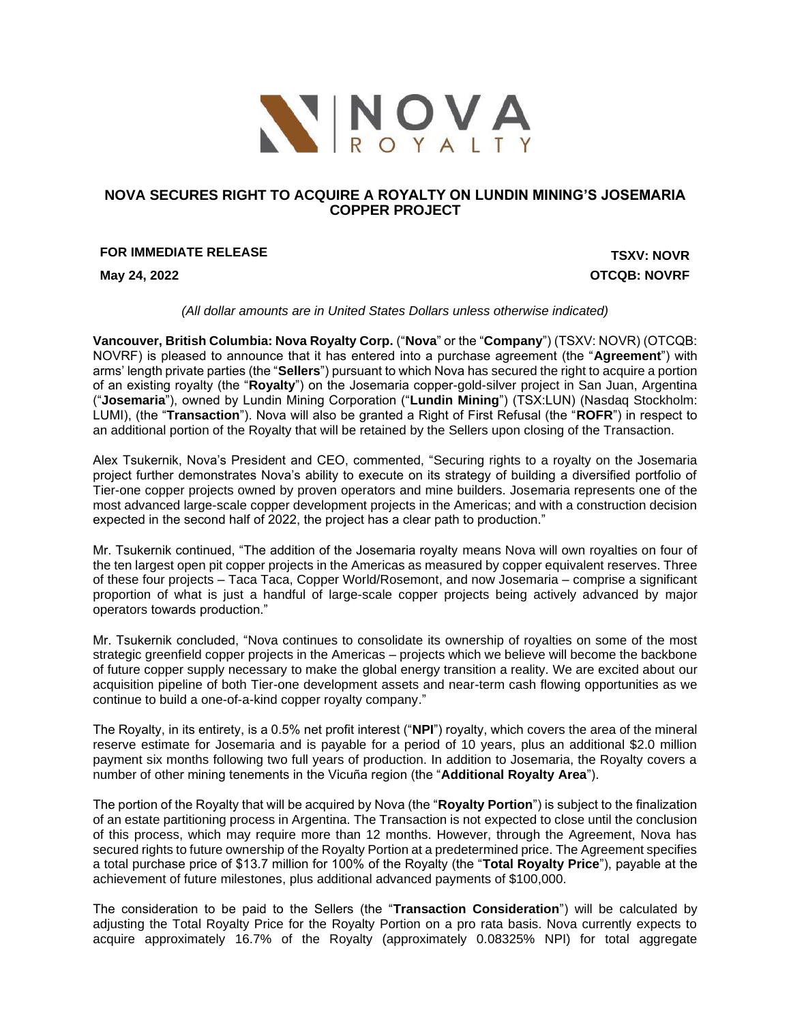

# **NOVA SECURES RIGHT TO ACQUIRE A ROYALTY ON LUNDIN MINING'S JOSEMARIA COPPER PROJECT**

# **FOR IMMEDIATE RELEASE TSXV: NOVR**

**May 24, 2022 OTCQB: NOVRF**

*(All dollar amounts are in United States Dollars unless otherwise indicated)*

**Vancouver, British Columbia: Nova Royalty Corp.** ("**Nova**" or the "**Company**") (TSXV: NOVR) (OTCQB: NOVRF) is pleased to announce that it has entered into a purchase agreement (the "**Agreement**") with arms' length private parties (the "**Sellers**") pursuant to which Nova has secured the right to acquire a portion of an existing royalty (the "**Royalty**") on the Josemaria copper-gold-silver project in San Juan, Argentina ("**Josemaria**"), owned by Lundin Mining Corporation ("**Lundin Mining**") (TSX:LUN) (Nasdaq Stockholm: LUMI), (the "**Transaction**"). Nova will also be granted a Right of First Refusal (the "**ROFR**") in respect to an additional portion of the Royalty that will be retained by the Sellers upon closing of the Transaction.

Alex Tsukernik, Nova's President and CEO, commented, "Securing rights to a royalty on the Josemaria project further demonstrates Nova's ability to execute on its strategy of building a diversified portfolio of Tier-one copper projects owned by proven operators and mine builders. Josemaria represents one of the most advanced large-scale copper development projects in the Americas; and with a construction decision expected in the second half of 2022, the project has a clear path to production."

Mr. Tsukernik continued, "The addition of the Josemaria royalty means Nova will own royalties on four of the ten largest open pit copper projects in the Americas as measured by copper equivalent reserves. Three of these four projects – Taca Taca, Copper World/Rosemont, and now Josemaria – comprise a significant proportion of what is just a handful of large-scale copper projects being actively advanced by major operators towards production."

Mr. Tsukernik concluded, "Nova continues to consolidate its ownership of royalties on some of the most strategic greenfield copper projects in the Americas – projects which we believe will become the backbone of future copper supply necessary to make the global energy transition a reality. We are excited about our acquisition pipeline of both Tier-one development assets and near-term cash flowing opportunities as we continue to build a one-of-a-kind copper royalty company."

The Royalty, in its entirety, is a 0.5% net profit interest ("**NPI**") royalty, which covers the area of the mineral reserve estimate for Josemaria and is payable for a period of 10 years, plus an additional \$2.0 million payment six months following two full years of production. In addition to Josemaria, the Royalty covers a number of other mining tenements in the Vicuña region (the "**Additional Royalty Area**").

The portion of the Royalty that will be acquired by Nova (the "**Royalty Portion**") is subject to the finalization of an estate partitioning process in Argentina. The Transaction is not expected to close until the conclusion of this process, which may require more than 12 months. However, through the Agreement, Nova has secured rights to future ownership of the Royalty Portion at a predetermined price. The Agreement specifies a total purchase price of \$13.7 million for 100% of the Royalty (the "**Total Royalty Price**"), payable at the achievement of future milestones, plus additional advanced payments of \$100,000.

The consideration to be paid to the Sellers (the "**Transaction Consideration**") will be calculated by adjusting the Total Royalty Price for the Royalty Portion on a pro rata basis. Nova currently expects to acquire approximately 16.7% of the Royalty (approximately 0.08325% NPI) for total aggregate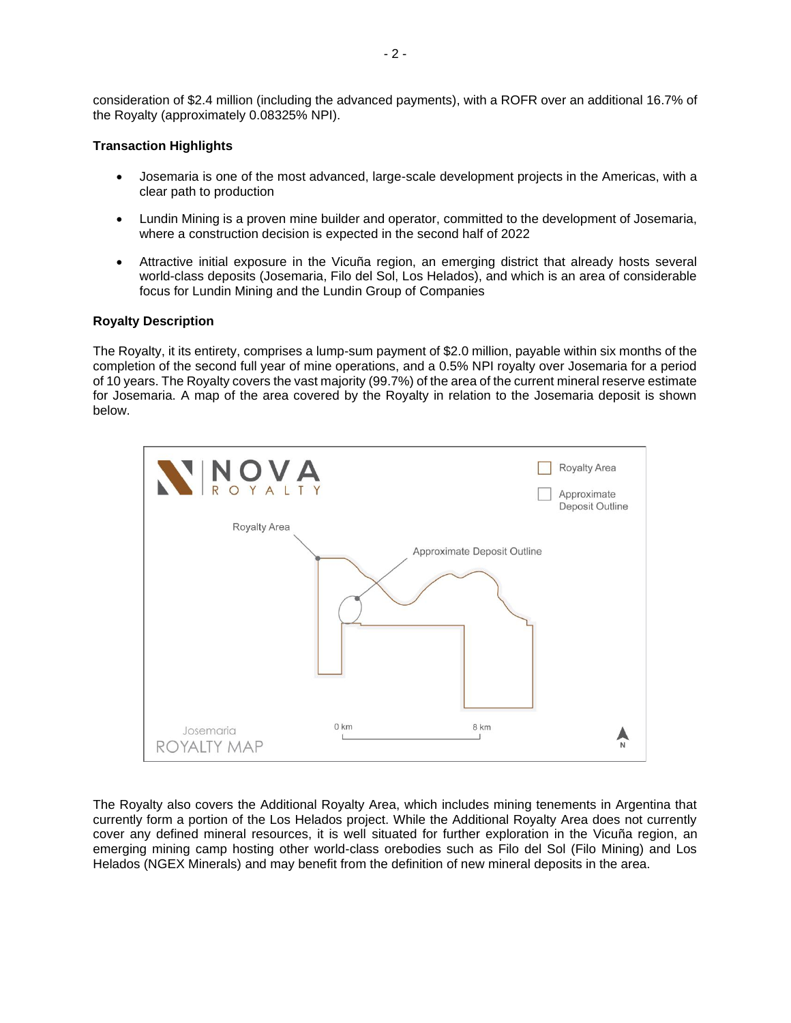consideration of \$2.4 million (including the advanced payments), with a ROFR over an additional 16.7% of the Royalty (approximately 0.08325% NPI).

## **Transaction Highlights**

- Josemaria is one of the most advanced, large-scale development projects in the Americas, with a clear path to production
- Lundin Mining is a proven mine builder and operator, committed to the development of Josemaria, where a construction decision is expected in the second half of 2022
- Attractive initial exposure in the Vicuña region, an emerging district that already hosts several world-class deposits (Josemaria, Filo del Sol, Los Helados), and which is an area of considerable focus for Lundin Mining and the Lundin Group of Companies

## **Royalty Description**

The Royalty, it its entirety, comprises a lump-sum payment of \$2.0 million, payable within six months of the completion of the second full year of mine operations, and a 0.5% NPI royalty over Josemaria for a period of 10 years. The Royalty covers the vast majority (99.7%) of the area of the current mineral reserve estimate for Josemaria. A map of the area covered by the Royalty in relation to the Josemaria deposit is shown below.



The Royalty also covers the Additional Royalty Area, which includes mining tenements in Argentina that currently form a portion of the Los Helados project. While the Additional Royalty Area does not currently cover any defined mineral resources, it is well situated for further exploration in the Vicuña region, an emerging mining camp hosting other world-class orebodies such as Filo del Sol (Filo Mining) and Los Helados (NGEX Minerals) and may benefit from the definition of new mineral deposits in the area.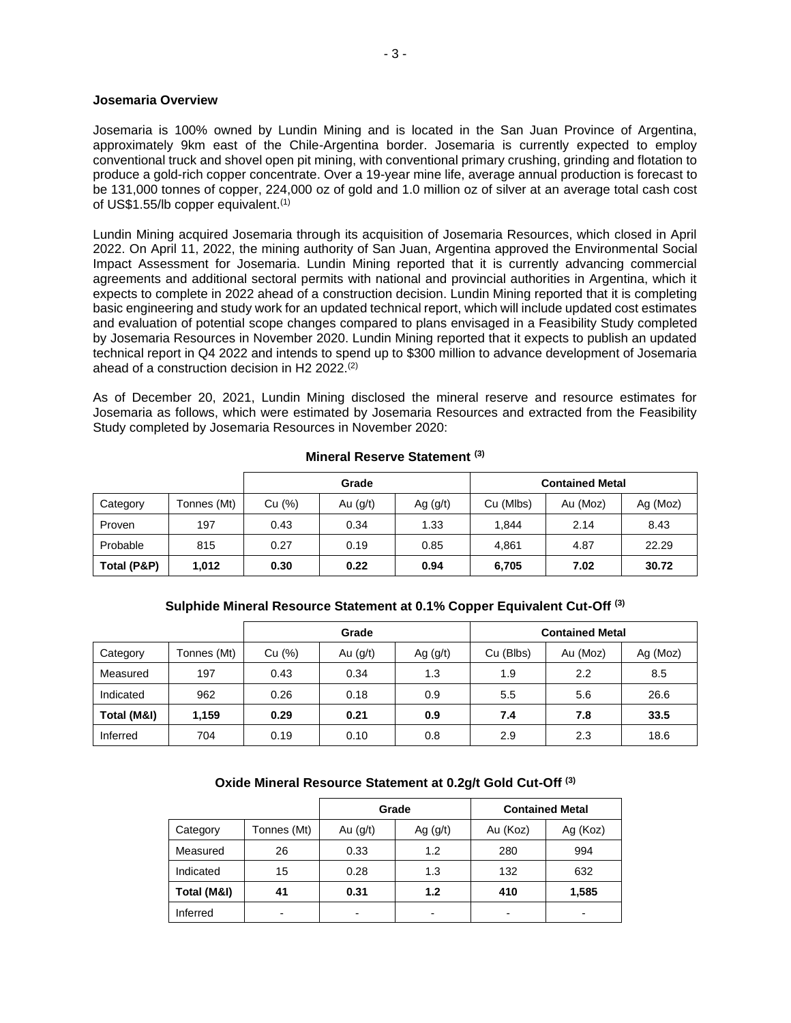#### **Josemaria Overview**

Josemaria is 100% owned by Lundin Mining and is located in the San Juan Province of Argentina, approximately 9km east of the Chile-Argentina border. Josemaria is currently expected to employ conventional truck and shovel open pit mining, with conventional primary crushing, grinding and flotation to produce a gold-rich copper concentrate. Over a 19-year mine life, average annual production is forecast to be 131,000 tonnes of copper, 224,000 oz of gold and 1.0 million oz of silver at an average total cash cost of US\$1.55/lb copper equivalent.(1)

Lundin Mining acquired Josemaria through its acquisition of Josemaria Resources, which closed in April 2022. On April 11, 2022, the mining authority of San Juan, Argentina approved the Environmental Social Impact Assessment for Josemaria. Lundin Mining reported that it is currently advancing commercial agreements and additional sectoral permits with national and provincial authorities in Argentina, which it expects to complete in 2022 ahead of a construction decision. Lundin Mining reported that it is completing basic engineering and study work for an updated technical report, which will include updated cost estimates and evaluation of potential scope changes compared to plans envisaged in a Feasibility Study completed by Josemaria Resources in November 2020. Lundin Mining reported that it expects to publish an updated technical report in Q4 2022 and intends to spend up to \$300 million to advance development of Josemaria ahead of a construction decision in H2 2022.(2)

As of December 20, 2021, Lundin Mining disclosed the mineral reserve and resource estimates for Josemaria as follows, which were estimated by Josemaria Resources and extracted from the Feasibility Study completed by Josemaria Resources in November 2020:

|             |             | Grade  |            |            | <b>Contained Metal</b> |          |          |
|-------------|-------------|--------|------------|------------|------------------------|----------|----------|
| Category    | Tonnes (Mt) | Cu (%) | Au $(g/t)$ | Ag $(g/t)$ | Cu (Mlbs)              | Au (Moz) | Ag (Moz) |
| Proven      | 197         | 0.43   | 0.34       | 1.33       | 1.844                  | 2.14     | 8.43     |
| Probable    | 815         | 0.27   | 0.19       | 0.85       | 4.861                  | 4.87     | 22.29    |
| Total (P&P) | 1,012       | 0.30   | 0.22       | 0.94       | 6,705                  | 7.02     | 30.72    |

### **Mineral Reserve Statement (3)**

## **Sulphide Mineral Resource Statement at 0.1% Copper Equivalent Cut-Off (3)**

|             |             | Grade  |            |            | <b>Contained Metal</b> |          |          |
|-------------|-------------|--------|------------|------------|------------------------|----------|----------|
| Category    | Tonnes (Mt) | Cu (%) | Au $(g/t)$ | Ag $(g/t)$ | Cu (Blbs)              | Au (Moz) | Ag (Moz) |
| Measured    | 197         | 0.43   | 0.34       | 1.3        | 1.9                    | 2.2      | 8.5      |
| Indicated   | 962         | 0.26   | 0.18       | 0.9        | 5.5                    | 5.6      | 26.6     |
| Total (M&I) | 1,159       | 0.29   | 0.21       | 0.9        | 7.4                    | 7.8      | 33.5     |
| Inferred    | 704         | 0.19   | 0.10       | 0.8        | 2.9                    | 2.3      | 18.6     |

## **Oxide Mineral Resource Statement at 0.2g/t Gold Cut-Off (3)**

|             |                          |                          | Grade                    | <b>Contained Metal</b> |          |  |
|-------------|--------------------------|--------------------------|--------------------------|------------------------|----------|--|
| Category    | Tonnes (Mt)              | Au $(g/t)$               | Ag $(g/t)$               | Au (Koz)               | Ag (Koz) |  |
| Measured    | 26                       | 0.33                     | 1.2                      | 280                    | 994      |  |
| Indicated   | 15                       | 0.28                     | 1.3                      | 132                    | 632      |  |
| Total (M&I) | 41                       | 0.31                     | 1.2                      | 410                    | 1,585    |  |
| Inferred    | $\overline{\phantom{0}}$ | $\overline{\phantom{0}}$ | $\overline{\phantom{0}}$ |                        | -        |  |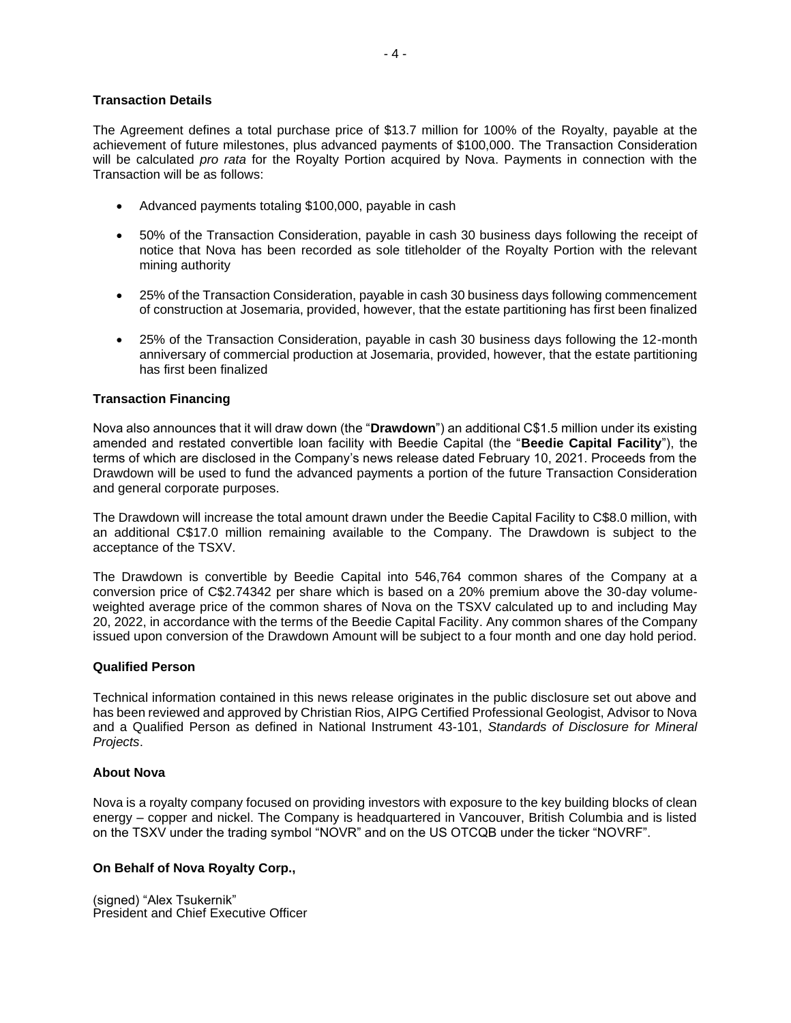### **Transaction Details**

The Agreement defines a total purchase price of \$13.7 million for 100% of the Royalty, payable at the achievement of future milestones, plus advanced payments of \$100,000. The Transaction Consideration will be calculated *pro rata* for the Royalty Portion acquired by Nova. Payments in connection with the Transaction will be as follows:

- Advanced payments totaling \$100,000, payable in cash
- 50% of the Transaction Consideration, payable in cash 30 business days following the receipt of notice that Nova has been recorded as sole titleholder of the Royalty Portion with the relevant mining authority
- 25% of the Transaction Consideration, payable in cash 30 business days following commencement of construction at Josemaria, provided, however, that the estate partitioning has first been finalized
- 25% of the Transaction Consideration, payable in cash 30 business days following the 12-month anniversary of commercial production at Josemaria, provided, however, that the estate partitioning has first been finalized

### **Transaction Financing**

Nova also announces that it will draw down (the "**Drawdown**") an additional C\$1.5 million under its existing amended and restated convertible loan facility with Beedie Capital (the "**Beedie Capital Facility**"), the terms of which are disclosed in the Company's news release dated February 10, 2021. Proceeds from the Drawdown will be used to fund the advanced payments a portion of the future Transaction Consideration and general corporate purposes.

The Drawdown will increase the total amount drawn under the Beedie Capital Facility to C\$8.0 million, with an additional C\$17.0 million remaining available to the Company. The Drawdown is subject to the acceptance of the TSXV.

The Drawdown is convertible by Beedie Capital into 546,764 common shares of the Company at a conversion price of C\$2.74342 per share which is based on a 20% premium above the 30-day volumeweighted average price of the common shares of Nova on the TSXV calculated up to and including May 20, 2022, in accordance with the terms of the Beedie Capital Facility. Any common shares of the Company issued upon conversion of the Drawdown Amount will be subject to a four month and one day hold period.

#### **Qualified Person**

Technical information contained in this news release originates in the public disclosure set out above and has been reviewed and approved by Christian Rios, AIPG Certified Professional Geologist, Advisor to Nova and a Qualified Person as defined in National Instrument 43-101, *Standards of Disclosure for Mineral Projects*.

#### **About Nova**

Nova is a royalty company focused on providing investors with exposure to the key building blocks of clean energy – copper and nickel. The Company is headquartered in Vancouver, British Columbia and is listed on the TSXV under the trading symbol "NOVR" and on the US OTCQB under the ticker "NOVRF".

## **On Behalf of Nova Royalty Corp.,**

(signed) "Alex Tsukernik" President and Chief Executive Officer